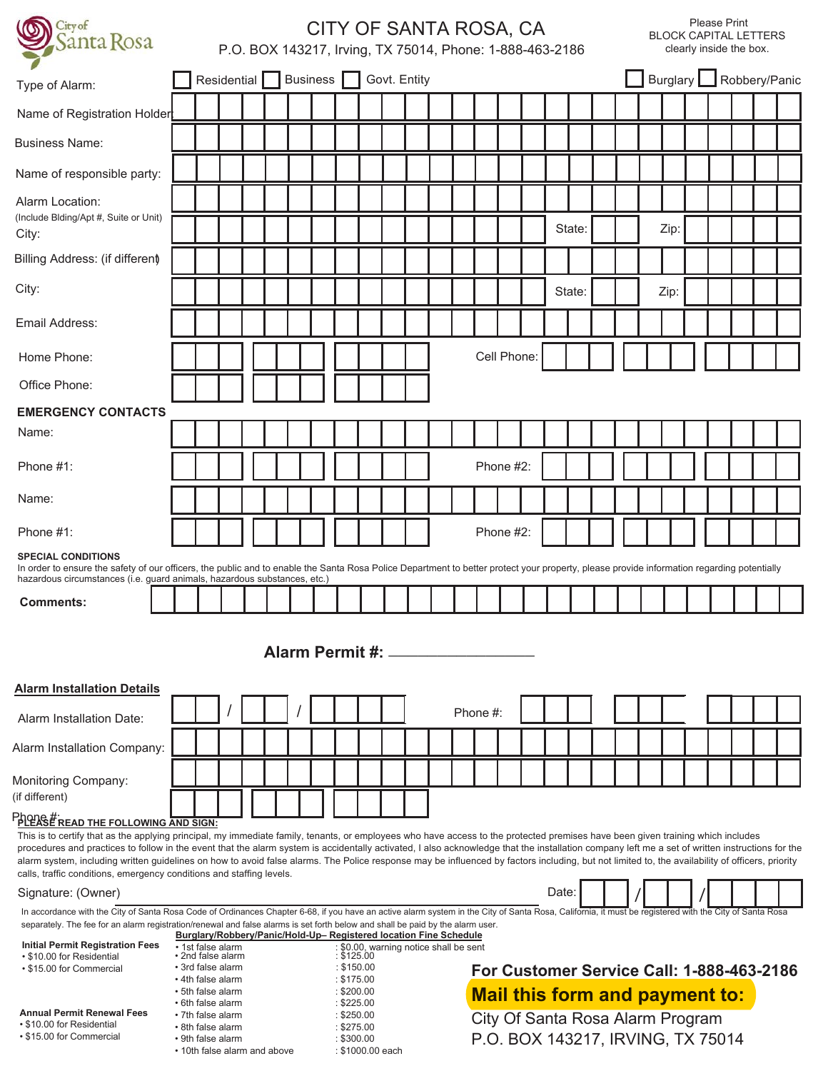| City of<br>anta Rosa                                                                                                                                                                                                                                                                                                                                                                                                                                                                                                                                                                                                                                                                                  | CITY OF SANTA ROSA, CA<br>P.O. BOX 143217, Irving, TX 75014, Phone: 1-888-463-2186 |                                                                                       |             |  |  |                          |  |                          | <b>Please Print</b><br><b>BLOCK CAPITAL LETTERS</b><br>clearly inside the box. |  |                                                                                    |                                                      |  |             |  |  |       |        |  |  |                                  |  |  |  |                        |  |
|-------------------------------------------------------------------------------------------------------------------------------------------------------------------------------------------------------------------------------------------------------------------------------------------------------------------------------------------------------------------------------------------------------------------------------------------------------------------------------------------------------------------------------------------------------------------------------------------------------------------------------------------------------------------------------------------------------|------------------------------------------------------------------------------------|---------------------------------------------------------------------------------------|-------------|--|--|--------------------------|--|--------------------------|--------------------------------------------------------------------------------|--|------------------------------------------------------------------------------------|------------------------------------------------------|--|-------------|--|--|-------|--------|--|--|----------------------------------|--|--|--|------------------------|--|
| Type of Alarm:                                                                                                                                                                                                                                                                                                                                                                                                                                                                                                                                                                                                                                                                                        |                                                                                    |                                                                                       | Residential |  |  | <b>Business</b>          |  |                          |                                                                                |  | Govt. Entity                                                                       |                                                      |  |             |  |  |       |        |  |  |                                  |  |  |  | Burglary Robbery/Panic |  |
| Name of Registration Holder                                                                                                                                                                                                                                                                                                                                                                                                                                                                                                                                                                                                                                                                           |                                                                                    |                                                                                       |             |  |  |                          |  |                          |                                                                                |  |                                                                                    |                                                      |  |             |  |  |       |        |  |  |                                  |  |  |  |                        |  |
| <b>Business Name:</b>                                                                                                                                                                                                                                                                                                                                                                                                                                                                                                                                                                                                                                                                                 |                                                                                    |                                                                                       |             |  |  |                          |  |                          |                                                                                |  |                                                                                    |                                                      |  |             |  |  |       |        |  |  |                                  |  |  |  |                        |  |
| Name of responsible party:                                                                                                                                                                                                                                                                                                                                                                                                                                                                                                                                                                                                                                                                            |                                                                                    |                                                                                       |             |  |  |                          |  |                          |                                                                                |  |                                                                                    |                                                      |  |             |  |  |       |        |  |  |                                  |  |  |  |                        |  |
| Alarm Location:<br>(Include Blding/Apt #, Suite or Unit)<br>City:                                                                                                                                                                                                                                                                                                                                                                                                                                                                                                                                                                                                                                     |                                                                                    |                                                                                       |             |  |  |                          |  |                          |                                                                                |  |                                                                                    |                                                      |  |             |  |  |       | State: |  |  | Zip:                             |  |  |  |                        |  |
| Billing Address: (if different)                                                                                                                                                                                                                                                                                                                                                                                                                                                                                                                                                                                                                                                                       |                                                                                    |                                                                                       |             |  |  |                          |  |                          |                                                                                |  |                                                                                    |                                                      |  |             |  |  |       |        |  |  |                                  |  |  |  |                        |  |
| City:                                                                                                                                                                                                                                                                                                                                                                                                                                                                                                                                                                                                                                                                                                 |                                                                                    |                                                                                       |             |  |  |                          |  |                          |                                                                                |  |                                                                                    |                                                      |  |             |  |  |       | State: |  |  | Zip:                             |  |  |  |                        |  |
| Email Address:                                                                                                                                                                                                                                                                                                                                                                                                                                                                                                                                                                                                                                                                                        |                                                                                    |                                                                                       |             |  |  |                          |  |                          |                                                                                |  |                                                                                    |                                                      |  |             |  |  |       |        |  |  |                                  |  |  |  |                        |  |
| Home Phone:                                                                                                                                                                                                                                                                                                                                                                                                                                                                                                                                                                                                                                                                                           |                                                                                    |                                                                                       |             |  |  |                          |  |                          |                                                                                |  |                                                                                    |                                                      |  | Cell Phone: |  |  |       |        |  |  |                                  |  |  |  |                        |  |
| Office Phone:                                                                                                                                                                                                                                                                                                                                                                                                                                                                                                                                                                                                                                                                                         |                                                                                    |                                                                                       |             |  |  |                          |  |                          |                                                                                |  |                                                                                    |                                                      |  |             |  |  |       |        |  |  |                                  |  |  |  |                        |  |
| <b>EMERGENCY CONTACTS</b>                                                                                                                                                                                                                                                                                                                                                                                                                                                                                                                                                                                                                                                                             |                                                                                    |                                                                                       |             |  |  |                          |  |                          |                                                                                |  |                                                                                    |                                                      |  |             |  |  |       |        |  |  |                                  |  |  |  |                        |  |
| Name:                                                                                                                                                                                                                                                                                                                                                                                                                                                                                                                                                                                                                                                                                                 |                                                                                    |                                                                                       |             |  |  |                          |  |                          |                                                                                |  |                                                                                    |                                                      |  |             |  |  |       |        |  |  |                                  |  |  |  |                        |  |
| Phone $#1$ :                                                                                                                                                                                                                                                                                                                                                                                                                                                                                                                                                                                                                                                                                          |                                                                                    |                                                                                       |             |  |  |                          |  |                          |                                                                                |  |                                                                                    |                                                      |  | Phone #2:   |  |  |       |        |  |  |                                  |  |  |  |                        |  |
| Name:                                                                                                                                                                                                                                                                                                                                                                                                                                                                                                                                                                                                                                                                                                 |                                                                                    |                                                                                       |             |  |  |                          |  |                          |                                                                                |  |                                                                                    |                                                      |  |             |  |  |       |        |  |  |                                  |  |  |  |                        |  |
| Phone #1:                                                                                                                                                                                                                                                                                                                                                                                                                                                                                                                                                                                                                                                                                             |                                                                                    |                                                                                       |             |  |  |                          |  |                          |                                                                                |  |                                                                                    |                                                      |  | Phone #2:   |  |  |       |        |  |  |                                  |  |  |  |                        |  |
| <b>SPECIAL CONDITIONS</b><br>In order to ensure the safety of our officers, the public and to enable the Santa Rosa Police Department to better protect your property, please provide information regarding potentially<br>hazardous circumstances (i.e. guard animals, hazardous substances, etc.)                                                                                                                                                                                                                                                                                                                                                                                                   |                                                                                    |                                                                                       |             |  |  |                          |  |                          |                                                                                |  |                                                                                    |                                                      |  |             |  |  |       |        |  |  |                                  |  |  |  |                        |  |
| <b>Comments:</b>                                                                                                                                                                                                                                                                                                                                                                                                                                                                                                                                                                                                                                                                                      |                                                                                    |                                                                                       |             |  |  |                          |  |                          |                                                                                |  |                                                                                    |                                                      |  |             |  |  |       |        |  |  |                                  |  |  |  |                        |  |
| <b>Alarm Installation Details</b>                                                                                                                                                                                                                                                                                                                                                                                                                                                                                                                                                                                                                                                                     |                                                                                    |                                                                                       |             |  |  |                          |  |                          |                                                                                |  |                                                                                    | Alarm Permit #: ________                             |  |             |  |  |       |        |  |  |                                  |  |  |  |                        |  |
| Alarm Installation Date:                                                                                                                                                                                                                                                                                                                                                                                                                                                                                                                                                                                                                                                                              |                                                                                    |                                                                                       |             |  |  |                          |  |                          |                                                                                |  |                                                                                    |                                                      |  | Phone #:    |  |  |       |        |  |  |                                  |  |  |  |                        |  |
| Alarm Installation Company:                                                                                                                                                                                                                                                                                                                                                                                                                                                                                                                                                                                                                                                                           |                                                                                    |                                                                                       |             |  |  |                          |  |                          |                                                                                |  |                                                                                    |                                                      |  |             |  |  |       |        |  |  |                                  |  |  |  |                        |  |
| Monitoring Company:<br>(if different)                                                                                                                                                                                                                                                                                                                                                                                                                                                                                                                                                                                                                                                                 |                                                                                    |                                                                                       |             |  |  |                          |  |                          |                                                                                |  |                                                                                    |                                                      |  |             |  |  |       |        |  |  |                                  |  |  |  |                        |  |
| PACEASE READ THE FOLLOWING AND SIGN:<br>This is to certify that as the applying principal, my immediate family, tenants, or employees who have access to the protected premises have been given training which includes<br>procedures and practices to follow in the event that the alarm system is accidentally activated, I also acknowledge that the installation company left me a set of written instructions for the<br>alarm system, including written guidelines on how to avoid false alarms. The Police response may be influenced by factors including, but not limited to, the availability of officers, priority<br>calls, traffic conditions, emergency conditions and staffing levels. |                                                                                    |                                                                                       |             |  |  |                          |  |                          |                                                                                |  |                                                                                    |                                                      |  |             |  |  |       |        |  |  |                                  |  |  |  |                        |  |
| Signature: (Owner)                                                                                                                                                                                                                                                                                                                                                                                                                                                                                                                                                                                                                                                                                    |                                                                                    |                                                                                       |             |  |  |                          |  |                          |                                                                                |  |                                                                                    |                                                      |  |             |  |  | Date: |        |  |  |                                  |  |  |  |                        |  |
| In accordance with the City of Santa Rosa Code of Ordinances Chapter 6-68, if you have an active alarm system in the City of Santa Rosa, California, it must be registered with the City of Santa Rosa<br>separately. The fee for an alarm registration/renewal and false alarms is set forth below and shall be paid by the alarm user.                                                                                                                                                                                                                                                                                                                                                              |                                                                                    |                                                                                       |             |  |  |                          |  |                          |                                                                                |  |                                                                                    |                                                      |  |             |  |  |       |        |  |  |                                  |  |  |  |                        |  |
| <b>Initial Permit Registration Fees</b>                                                                                                                                                                                                                                                                                                                                                                                                                                                                                                                                                                                                                                                               |                                                                                    | Burglary/Robbery/Panic/Hold-Up-Registered location Fine Schedule<br>• 1st false alarm |             |  |  |                          |  |                          |                                                                                |  |                                                                                    |                                                      |  |             |  |  |       |        |  |  |                                  |  |  |  |                        |  |
| • \$10.00 for Residential<br>• \$15.00 for Commercial                                                                                                                                                                                                                                                                                                                                                                                                                                                                                                                                                                                                                                                 |                                                                                    | • 2nd false alarm                                                                     |             |  |  |                          |  | : \$150.00               |                                                                                |  |                                                                                    | : \$0.00, warning notice shall be sent<br>: \$125.00 |  |             |  |  |       |        |  |  |                                  |  |  |  |                        |  |
|                                                                                                                                                                                                                                                                                                                                                                                                                                                                                                                                                                                                                                                                                                       | • 3rd false alarm<br>• 4th false alarm<br>• 5th false alarm                        |                                                                                       |             |  |  | : \$175.00<br>: \$200.00 |  |                          |                                                                                |  | For Customer Service Call: 1-888-463-2186<br><b>Mail this form and payment to:</b> |                                                      |  |             |  |  |       |        |  |  |                                  |  |  |  |                        |  |
|                                                                                                                                                                                                                                                                                                                                                                                                                                                                                                                                                                                                                                                                                                       |                                                                                    | • 6th false alarm                                                                     |             |  |  |                          |  | : \$225.00               |                                                                                |  |                                                                                    |                                                      |  |             |  |  |       |        |  |  |                                  |  |  |  |                        |  |
| <b>Annual Permit Renewal Fees</b><br>• \$10.00 for Residential                                                                                                                                                                                                                                                                                                                                                                                                                                                                                                                                                                                                                                        |                                                                                    | • 7th false alarm<br>• 8th false alarm                                                |             |  |  |                          |  | : \$250.00<br>: \$275.00 |                                                                                |  |                                                                                    |                                                      |  |             |  |  |       |        |  |  | City Of Santa Rosa Alarm Program |  |  |  |                        |  |
| • \$15.00 for Commercial                                                                                                                                                                                                                                                                                                                                                                                                                                                                                                                                                                                                                                                                              | • 9th false alarm                                                                  |                                                                                       |             |  |  | : \$300.00               |  |                          |                                                                                |  | P.O. BOX 143217, IRVING, TX 75014                                                  |                                                      |  |             |  |  |       |        |  |  |                                  |  |  |  |                        |  |

• 10th false alarm and above : \$1000.00 each